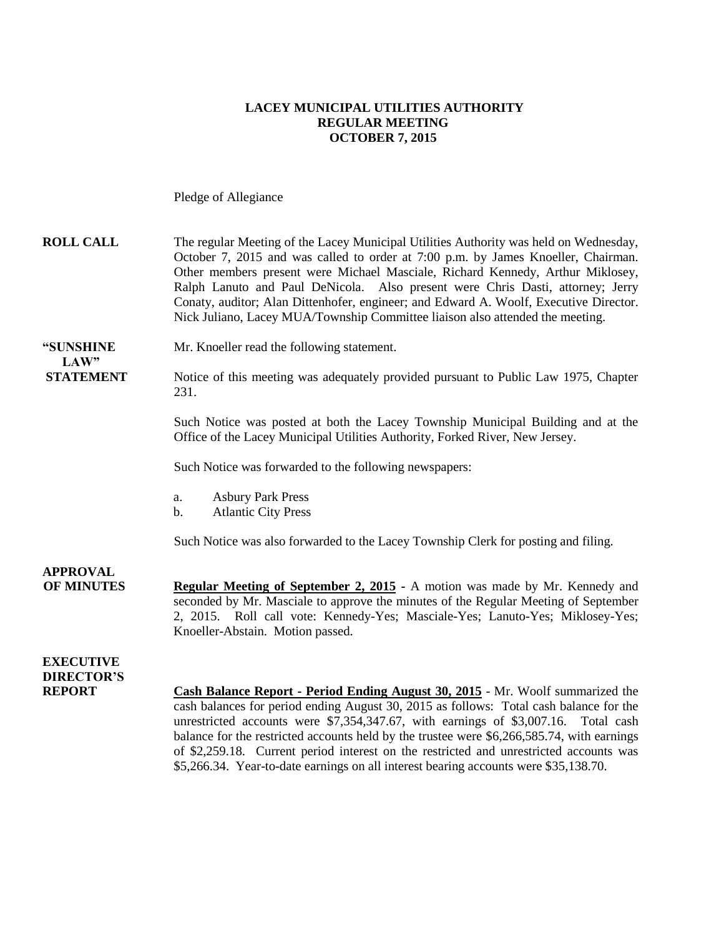#### **LACEY MUNICIPAL UTILITIES AUTHORITY REGULAR MEETING OCTOBER 7, 2015**

Pledge of Allegiance

| <b>ROLL CALL</b>                                       | The regular Meeting of the Lacey Municipal Utilities Authority was held on Wednesday,<br>October 7, 2015 and was called to order at 7:00 p.m. by James Knoeller, Chairman.<br>Other members present were Michael Masciale, Richard Kennedy, Arthur Miklosey,<br>Ralph Lanuto and Paul DeNicola. Also present were Chris Dasti, attorney; Jerry<br>Conaty, auditor; Alan Dittenhofer, engineer; and Edward A. Woolf, Executive Director.<br>Nick Juliano, Lacey MUA/Township Committee liaison also attended the meeting.                       |
|--------------------------------------------------------|------------------------------------------------------------------------------------------------------------------------------------------------------------------------------------------------------------------------------------------------------------------------------------------------------------------------------------------------------------------------------------------------------------------------------------------------------------------------------------------------------------------------------------------------|
| <b>"SUNSHINE</b><br>LAW"                               | Mr. Knoeller read the following statement.                                                                                                                                                                                                                                                                                                                                                                                                                                                                                                     |
| <b>STATEMENT</b>                                       | Notice of this meeting was adequately provided pursuant to Public Law 1975, Chapter<br>231.                                                                                                                                                                                                                                                                                                                                                                                                                                                    |
|                                                        | Such Notice was posted at both the Lacey Township Municipal Building and at the<br>Office of the Lacey Municipal Utilities Authority, Forked River, New Jersey.                                                                                                                                                                                                                                                                                                                                                                                |
|                                                        | Such Notice was forwarded to the following newspapers:                                                                                                                                                                                                                                                                                                                                                                                                                                                                                         |
|                                                        | <b>Asbury Park Press</b><br>a.<br><b>Atlantic City Press</b><br>$\mathbf b$ .                                                                                                                                                                                                                                                                                                                                                                                                                                                                  |
|                                                        | Such Notice was also forwarded to the Lacey Township Clerk for posting and filing.                                                                                                                                                                                                                                                                                                                                                                                                                                                             |
| <b>APPROVAL</b><br><b>OF MINUTES</b>                   | Regular Meeting of September 2, 2015 - A motion was made by Mr. Kennedy and<br>seconded by Mr. Masciale to approve the minutes of the Regular Meeting of September<br>2, 2015. Roll call vote: Kennedy-Yes; Masciale-Yes; Lanuto-Yes; Miklosey-Yes;<br>Knoeller-Abstain. Motion passed.                                                                                                                                                                                                                                                        |
| <b>EXECUTIVE</b><br><b>DIRECTOR'S</b><br><b>REPORT</b> | Cash Balance Report - Period Ending August 30, 2015 - Mr. Woolf summarized the<br>cash balances for period ending August 30, 2015 as follows: Total cash balance for the<br>unrestricted accounts were \$7,354,347.67, with earnings of \$3,007.16. Total cash<br>balance for the restricted accounts held by the trustee were \$6,266,585.74, with earnings<br>of \$2,259.18. Current period interest on the restricted and unrestricted accounts was<br>\$5,266.34. Year-to-date earnings on all interest bearing accounts were \$35,138.70. |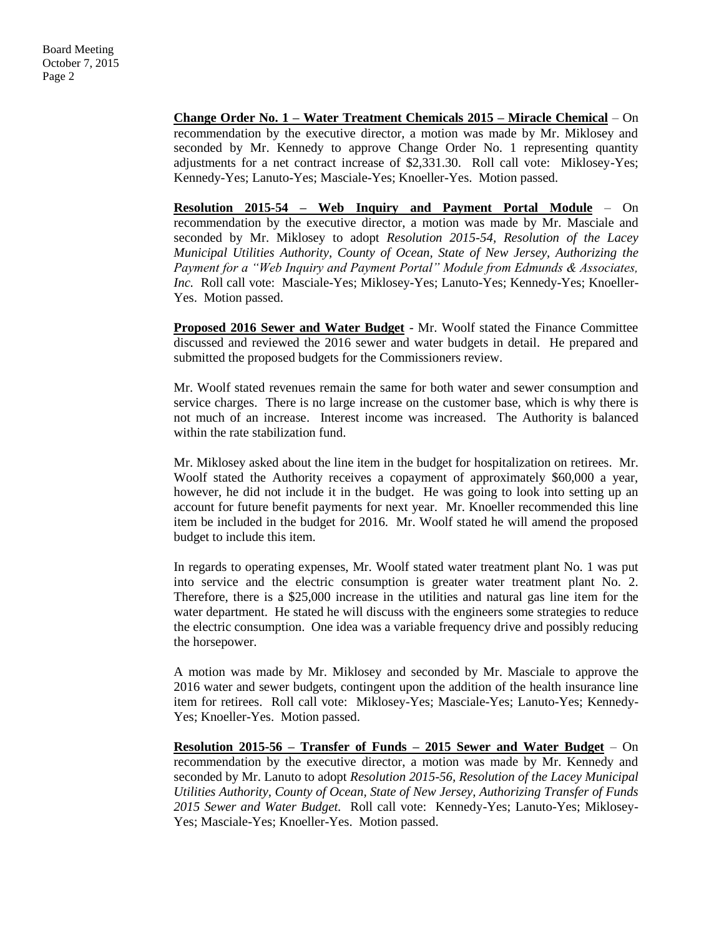**Change Order No. 1 – Water Treatment Chemicals 2015 – Miracle Chemical** – On recommendation by the executive director, a motion was made by Mr. Miklosey and seconded by Mr. Kennedy to approve Change Order No. 1 representing quantity adjustments for a net contract increase of \$2,331.30. Roll call vote: Miklosey-Yes; Kennedy-Yes; Lanuto-Yes; Masciale-Yes; Knoeller-Yes. Motion passed.

**Resolution 2015-54 – Web Inquiry and Payment Portal Module** – On recommendation by the executive director, a motion was made by Mr. Masciale and seconded by Mr. Miklosey to adopt *Resolution 2015-54, Resolution of the Lacey Municipal Utilities Authority, County of Ocean, State of New Jersey, Authorizing the Payment for a "Web Inquiry and Payment Portal" Module from Edmunds & Associates, Inc.* Roll call vote: Masciale-Yes; Miklosey-Yes; Lanuto-Yes; Kennedy-Yes; Knoeller-Yes. Motion passed.

**Proposed 2016 Sewer and Water Budget** - Mr. Woolf stated the Finance Committee discussed and reviewed the 2016 sewer and water budgets in detail. He prepared and submitted the proposed budgets for the Commissioners review.

Mr. Woolf stated revenues remain the same for both water and sewer consumption and service charges. There is no large increase on the customer base, which is why there is not much of an increase. Interest income was increased. The Authority is balanced within the rate stabilization fund.

Mr. Miklosey asked about the line item in the budget for hospitalization on retirees. Mr. Woolf stated the Authority receives a copayment of approximately \$60,000 a year, however, he did not include it in the budget. He was going to look into setting up an account for future benefit payments for next year. Mr. Knoeller recommended this line item be included in the budget for 2016. Mr. Woolf stated he will amend the proposed budget to include this item.

In regards to operating expenses, Mr. Woolf stated water treatment plant No. 1 was put into service and the electric consumption is greater water treatment plant No. 2. Therefore, there is a \$25,000 increase in the utilities and natural gas line item for the water department. He stated he will discuss with the engineers some strategies to reduce the electric consumption. One idea was a variable frequency drive and possibly reducing the horsepower.

A motion was made by Mr. Miklosey and seconded by Mr. Masciale to approve the 2016 water and sewer budgets, contingent upon the addition of the health insurance line item for retirees. Roll call vote: Miklosey-Yes; Masciale-Yes; Lanuto-Yes; Kennedy-Yes; Knoeller-Yes. Motion passed.

**Resolution 2015-56 – Transfer of Funds – 2015 Sewer and Water Budget** – On recommendation by the executive director, a motion was made by Mr. Kennedy and seconded by Mr. Lanuto to adopt *Resolution 2015-56, Resolution of the Lacey Municipal Utilities Authority, County of Ocean, State of New Jersey, Authorizing Transfer of Funds 2015 Sewer and Water Budget.* Roll call vote: Kennedy-Yes; Lanuto-Yes; Miklosey-Yes; Masciale-Yes; Knoeller-Yes. Motion passed.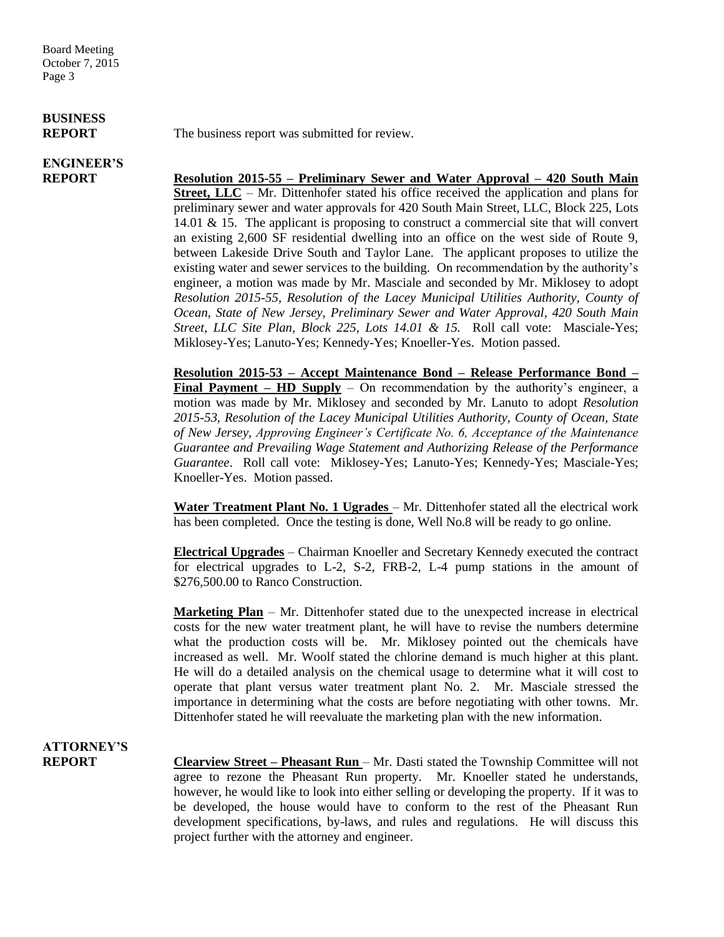Board Meeting October 7, 2015 Page 3

# **BUSINESS**

## **ENGINEER'S**

**REPORT** The business report was submitted for review.

**REPORT Resolution 2015-55 – Preliminary Sewer and Water Approval – 420 South Main Street, LLC** – Mr. Dittenhofer stated his office received the application and plans for preliminary sewer and water approvals for 420 South Main Street, LLC, Block 225, Lots 14.01 & 15. The applicant is proposing to construct a commercial site that will convert an existing 2,600 SF residential dwelling into an office on the west side of Route 9, between Lakeside Drive South and Taylor Lane. The applicant proposes to utilize the existing water and sewer services to the building. On recommendation by the authority's engineer, a motion was made by Mr. Masciale and seconded by Mr. Miklosey to adopt *Resolution 2015-55, Resolution of the Lacey Municipal Utilities Authority, County of Ocean, State of New Jersey, Preliminary Sewer and Water Approval, 420 South Main Street, LLC Site Plan, Block 225, Lots 14.01 & 15.* Roll call vote: Masciale-Yes; Miklosey-Yes; Lanuto-Yes; Kennedy-Yes; Knoeller-Yes. Motion passed.

> **Resolution 2015-53 – Accept Maintenance Bond – Release Performance Bond – Final Payment – HD Supply** – On recommendation by the authority's engineer, a motion was made by Mr. Miklosey and seconded by Mr. Lanuto to adopt *Resolution 2015-53, Resolution of the Lacey Municipal Utilities Authority, County of Ocean, State of New Jersey, Approving Engineer's Certificate No. 6, Acceptance of the Maintenance Guarantee and Prevailing Wage Statement and Authorizing Release of the Performance Guarantee*. Roll call vote: Miklosey-Yes; Lanuto-Yes; Kennedy-Yes; Masciale-Yes; Knoeller-Yes. Motion passed.

> **Water Treatment Plant No. 1 Ugrades** – Mr. Dittenhofer stated all the electrical work has been completed. Once the testing is done, Well No.8 will be ready to go online.

> **Electrical Upgrades** – Chairman Knoeller and Secretary Kennedy executed the contract for electrical upgrades to L-2, S-2, FRB-2, L-4 pump stations in the amount of \$276,500.00 to Ranco Construction.

> **Marketing Plan** – Mr. Dittenhofer stated due to the unexpected increase in electrical costs for the new water treatment plant, he will have to revise the numbers determine what the production costs will be. Mr. Miklosey pointed out the chemicals have increased as well. Mr. Woolf stated the chlorine demand is much higher at this plant. He will do a detailed analysis on the chemical usage to determine what it will cost to operate that plant versus water treatment plant No. 2. Mr. Masciale stressed the importance in determining what the costs are before negotiating with other towns. Mr. Dittenhofer stated he will reevaluate the marketing plan with the new information.

## **ATTORNEY'S**

**REPORT Clearview Street – Pheasant Run** – Mr. Dasti stated the Township Committee will not agree to rezone the Pheasant Run property. Mr. Knoeller stated he understands, however, he would like to look into either selling or developing the property. If it was to be developed, the house would have to conform to the rest of the Pheasant Run development specifications, by-laws, and rules and regulations. He will discuss this project further with the attorney and engineer.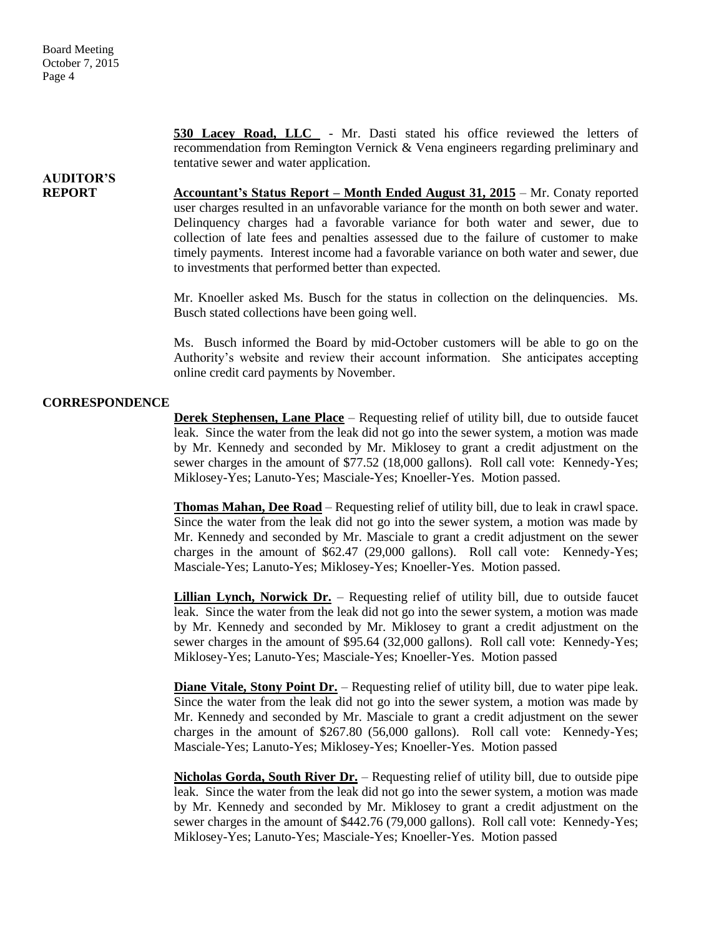**530 Lacey Road, LLC** - Mr. Dasti stated his office reviewed the letters of recommendation from Remington Vernick & Vena engineers regarding preliminary and tentative sewer and water application.

### **AUDITOR'S**

**REPORT Accountant's Status Report – Month Ended August 31, 2015** – Mr. Conaty reported user charges resulted in an unfavorable variance for the month on both sewer and water. Delinquency charges had a favorable variance for both water and sewer, due to collection of late fees and penalties assessed due to the failure of customer to make timely payments. Interest income had a favorable variance on both water and sewer, due to investments that performed better than expected.

> Mr. Knoeller asked Ms. Busch for the status in collection on the delinquencies. Ms. Busch stated collections have been going well.

> Ms. Busch informed the Board by mid-October customers will be able to go on the Authority's website and review their account information. She anticipates accepting online credit card payments by November.

#### **CORRESPONDENCE**

**Derek Stephensen, Lane Place** – Requesting relief of utility bill, due to outside faucet leak. Since the water from the leak did not go into the sewer system, a motion was made by Mr. Kennedy and seconded by Mr. Miklosey to grant a credit adjustment on the sewer charges in the amount of \$77.52 (18,000 gallons). Roll call vote: Kennedy-Yes; Miklosey-Yes; Lanuto-Yes; Masciale-Yes; Knoeller-Yes. Motion passed.

**Thomas Mahan, Dee Road** – Requesting relief of utility bill, due to leak in crawl space. Since the water from the leak did not go into the sewer system, a motion was made by Mr. Kennedy and seconded by Mr. Masciale to grant a credit adjustment on the sewer charges in the amount of \$62.47 (29,000 gallons). Roll call vote: Kennedy-Yes; Masciale-Yes; Lanuto-Yes; Miklosey-Yes; Knoeller-Yes. Motion passed.

**Lillian Lynch, Norwick Dr.** – Requesting relief of utility bill, due to outside faucet leak. Since the water from the leak did not go into the sewer system, a motion was made by Mr. Kennedy and seconded by Mr. Miklosey to grant a credit adjustment on the sewer charges in the amount of \$95.64 (32,000 gallons). Roll call vote: Kennedy-Yes; Miklosey-Yes; Lanuto-Yes; Masciale-Yes; Knoeller-Yes. Motion passed

**Diane Vitale, Stony Point Dr.** – Requesting relief of utility bill, due to water pipe leak. Since the water from the leak did not go into the sewer system, a motion was made by Mr. Kennedy and seconded by Mr. Masciale to grant a credit adjustment on the sewer charges in the amount of \$267.80 (56,000 gallons). Roll call vote: Kennedy-Yes; Masciale-Yes; Lanuto-Yes; Miklosey-Yes; Knoeller-Yes. Motion passed

**Nicholas Gorda, South River Dr.** – Requesting relief of utility bill, due to outside pipe leak. Since the water from the leak did not go into the sewer system, a motion was made by Mr. Kennedy and seconded by Mr. Miklosey to grant a credit adjustment on the sewer charges in the amount of \$442.76 (79,000 gallons). Roll call vote: Kennedy-Yes; Miklosey-Yes; Lanuto-Yes; Masciale-Yes; Knoeller-Yes. Motion passed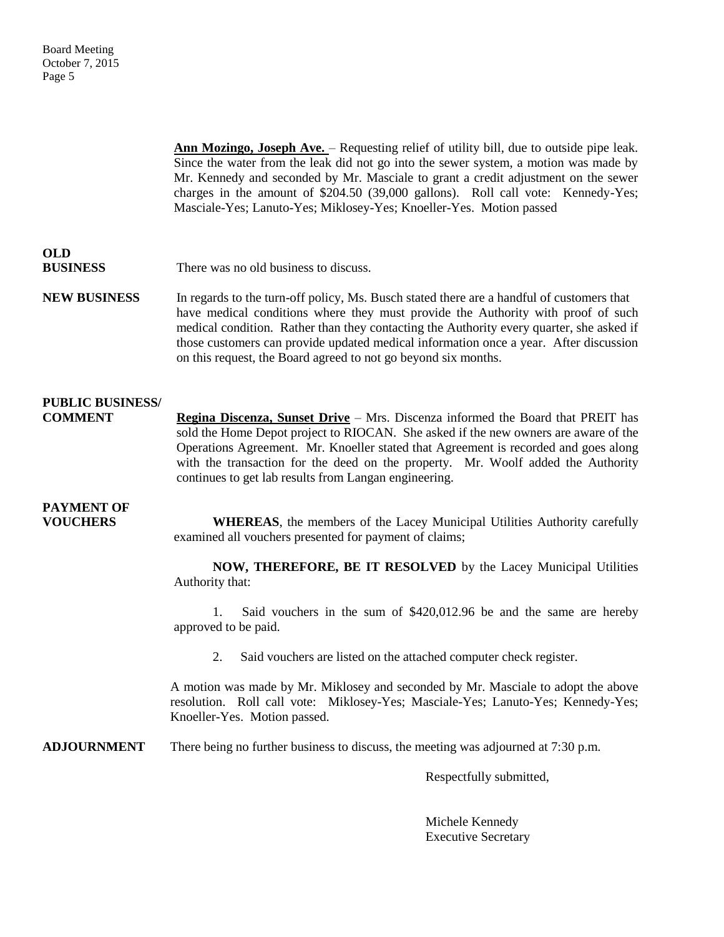**Ann Mozingo, Joseph Ave.** – Requesting relief of utility bill, due to outside pipe leak. Since the water from the leak did not go into the sewer system, a motion was made by Mr. Kennedy and seconded by Mr. Masciale to grant a credit adjustment on the sewer charges in the amount of \$204.50 (39,000 gallons). Roll call vote: Kennedy-Yes; Masciale-Yes; Lanuto-Yes; Miklosey-Yes; Knoeller-Yes. Motion passed

# **OLD**

**BUSINESS** There was no old business to discuss.

**NEW BUSINESS** In regards to the turn-off policy, Ms. Busch stated there are a handful of customers that have medical conditions where they must provide the Authority with proof of such medical condition. Rather than they contacting the Authority every quarter, she asked if those customers can provide updated medical information once a year. After discussion on this request, the Board agreed to not go beyond six months.

#### **PUBLIC BUSINESS/**

**COMMENT Regina Discenza, Sunset Drive** – Mrs. Discenza informed the Board that PREIT has sold the Home Depot project to RIOCAN. She asked if the new owners are aware of the Operations Agreement. Mr. Knoeller stated that Agreement is recorded and goes along with the transaction for the deed on the property. Mr. Woolf added the Authority continues to get lab results from Langan engineering.

### **PAYMENT OF**

**VOUCHERS WHEREAS**, the members of the Lacey Municipal Utilities Authority carefully examined all vouchers presented for payment of claims;

> **NOW, THEREFORE, BE IT RESOLVED** by the Lacey Municipal Utilities Authority that:

> 1. Said vouchers in the sum of \$420,012.96 be and the same are hereby approved to be paid.

2. Said vouchers are listed on the attached computer check register.

A motion was made by Mr. Miklosey and seconded by Mr. Masciale to adopt the above resolution. Roll call vote: Miklosey-Yes; Masciale-Yes; Lanuto-Yes; Kennedy-Yes; Knoeller-Yes. Motion passed.

**ADJOURNMENT** There being no further business to discuss, the meeting was adjourned at 7:30 p.m.

Respectfully submitted,

Michele Kennedy Executive Secretary